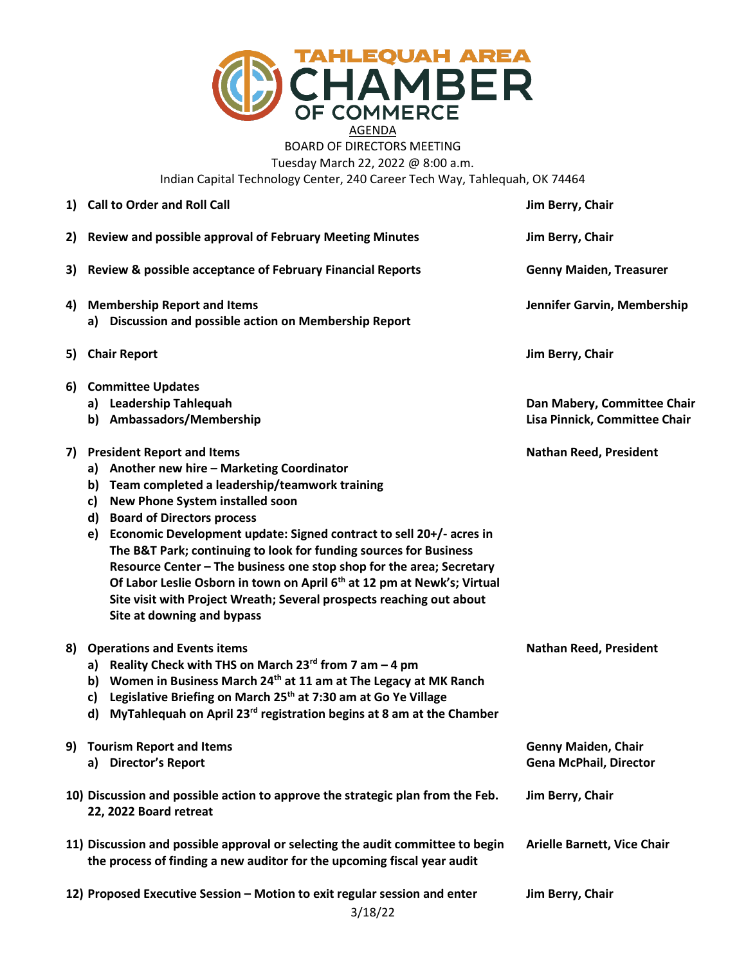

BOARD OF DIRECTORS MEETING Tuesday March 22, 2022 @ 8:00 a.m.

Indian Capital Technology Center, 240 Career Tech Way, Tahlequah, OK 74464

|    | 1) Call to Order and Roll Call                                                                                                                                                                                                                                                                                                                                                                                                                                                                                                                                                                                                                 | Jim Berry, Chair                                             |
|----|------------------------------------------------------------------------------------------------------------------------------------------------------------------------------------------------------------------------------------------------------------------------------------------------------------------------------------------------------------------------------------------------------------------------------------------------------------------------------------------------------------------------------------------------------------------------------------------------------------------------------------------------|--------------------------------------------------------------|
|    | 2) Review and possible approval of February Meeting Minutes                                                                                                                                                                                                                                                                                                                                                                                                                                                                                                                                                                                    | Jim Berry, Chair                                             |
| 3) | <b>Review &amp; possible acceptance of February Financial Reports</b>                                                                                                                                                                                                                                                                                                                                                                                                                                                                                                                                                                          | <b>Genny Maiden, Treasurer</b>                               |
|    | 4) Membership Report and Items<br>a) Discussion and possible action on Membership Report                                                                                                                                                                                                                                                                                                                                                                                                                                                                                                                                                       | Jennifer Garvin, Membership                                  |
| 5) | <b>Chair Report</b>                                                                                                                                                                                                                                                                                                                                                                                                                                                                                                                                                                                                                            | Jim Berry, Chair                                             |
| 6) | <b>Committee Updates</b><br>a) Leadership Tahlequah<br>b) Ambassadors/Membership                                                                                                                                                                                                                                                                                                                                                                                                                                                                                                                                                               | Dan Mabery, Committee Chair<br>Lisa Pinnick, Committee Chair |
|    | 7) President Report and Items<br>a) Another new hire - Marketing Coordinator<br>Team completed a leadership/teamwork training<br>b)<br>New Phone System installed soon<br>c)<br><b>Board of Directors process</b><br>d)<br>Economic Development update: Signed contract to sell 20+/- acres in<br>e)<br>The B&T Park; continuing to look for funding sources for Business<br>Resource Center - The business one stop shop for the area; Secretary<br>Of Labor Leslie Osborn in town on April 6 <sup>th</sup> at 12 pm at Newk's; Virtual<br>Site visit with Project Wreath; Several prospects reaching out about<br>Site at downing and bypass | <b>Nathan Reed, President</b>                                |
| 8) | <b>Operations and Events items</b><br>a) Reality Check with THS on March $23^{rd}$ from 7 am $-$ 4 pm<br>b) Women in Business March 24 <sup>th</sup> at 11 am at The Legacy at MK Ranch<br>Legislative Briefing on March 25th at 7:30 am at Go Ye Village<br>c)<br>MyTahlequah on April 23 <sup>rd</sup> registration begins at 8 am at the Chamber<br>d)                                                                                                                                                                                                                                                                                      | <b>Nathan Reed, President</b>                                |
|    | 9) Tourism Report and Items<br>a) Director's Report                                                                                                                                                                                                                                                                                                                                                                                                                                                                                                                                                                                            | <b>Genny Maiden, Chair</b><br><b>Gena McPhail, Director</b>  |
|    | 10) Discussion and possible action to approve the strategic plan from the Feb.<br>22, 2022 Board retreat                                                                                                                                                                                                                                                                                                                                                                                                                                                                                                                                       | Jim Berry, Chair                                             |
|    | 11) Discussion and possible approval or selecting the audit committee to begin<br>the process of finding a new auditor for the upcoming fiscal year audit                                                                                                                                                                                                                                                                                                                                                                                                                                                                                      | <b>Arielle Barnett, Vice Chair</b>                           |
|    | 12) Proposed Executive Session - Motion to exit regular session and enter<br>3/18/22                                                                                                                                                                                                                                                                                                                                                                                                                                                                                                                                                           | Jim Berry, Chair                                             |